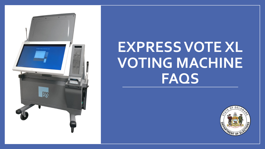

# **EXPRESS VOTE XL VOTING MACHINE FAQS**

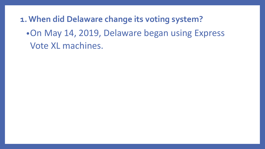**1. When did Delaware change its voting system?**

•On May 14, 2019, Delaware began using Express Vote XL machines.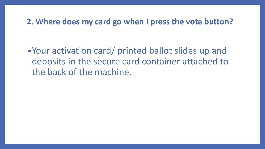## **2. Where does my card go when I press the vote button?**

•Your activation card/ printed ballot slides up and deposits in the secure card container attached to the back of the machine.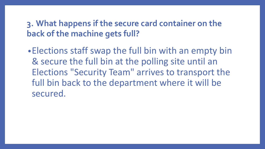# **3. What happens if the secure card container on the back of the machine gets full?**

•Elections staff swap the full bin with an empty bin & secure the full bin at the polling site until an Elections "Security Team" arrives to transport the full bin back to the department where it will be secured.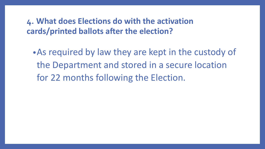**4. What does Elections do with the activation cards/printed ballots after the election?** 

•As required by law they are kept in the custody of the Department and stored in a secure location for 22 months following the Election.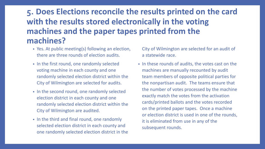# **5. Does Elections reconcile the results printed on the card with the results stored electronically in the voting machines and the paper tapes printed from the machines?**

- Yes. At public meeting(s) following an election, there are three rounds of election audits.
- In the first round, one randomly selected voting machine in each county and one randomly selected election district within the City of Wilmington are selected for audits.
- In the second round, one randomly selected election district in each county and one randomly selected election district within the City of Wilmington are audited.
- In the third and final round, one randomly selected election district in each county and one randomly selected election district in the

City of Wilmington are selected for an audit of a statewide race.

• In these rounds of audits, the votes cast on the machines are manually recounted by audit team members of opposite political parties for the nonpartisan audit. The teams ensure that the number of votes processed by the machine exactly match the votes from the activation cards/printed ballots and the votes recorded on the printed paper tapes. Once a machine or election district is used in one of the rounds, it is eliminated from use in any of the subsequent rounds.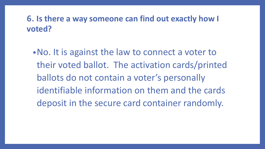# **6. Is there a way someone can find out exactly how I voted?**

•No. It is against the law to connect a voter to their voted ballot. The activation cards/printed ballots do not contain a voter's personally identifiable information on them and the cards deposit in the secure card container randomly.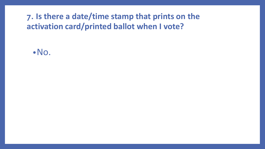# **7. Is there a date/time stamp that prints on the activation card/printed ballot when I vote?**

•No.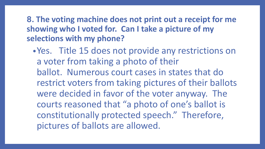**8. The voting machine does not print out a receipt for me showing who I voted for. Can I take a picture of my selections with my phone?** 

•Yes. Title 15 does not provide any restrictions on a voter from taking a photo of their ballot. Numerous court cases in states that do restrict voters from taking pictures of their ballots were decided in favor of the voter anyway. The courts reasoned that "a photo of one's ballot is constitutionally protected speech." Therefore, pictures of ballots are allowed.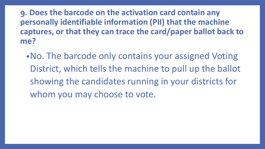**9. Does the barcode on the activation card contain any personally identifiable information (PII) that the machine captures, or that they can trace the card/paper ballot back to me?**

•No. The barcode only contains your assigned Voting District, which tells the machine to pull up the ballot showing the candidates running in your districts for whom you may choose to vote.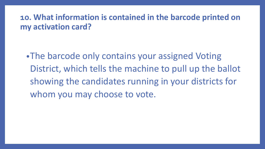## **10. What information is contained in the barcode printed on my activation card?**

•The barcode only contains your assigned Voting District, which tells the machine to pull up the ballot showing the candidates running in your districts for whom you may choose to vote.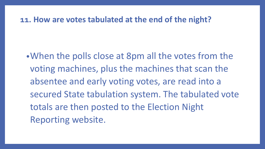#### **11. How are votes tabulated at the end of the night?**

•When the polls close at 8pm all the votes from the voting machines, plus the machines that scan the absentee and early voting votes, are read into a secured State tabulation system. The tabulated vote totals are then posted to the Election Night Reporting website.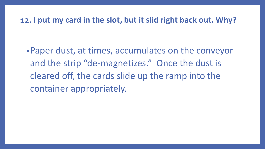## **12. I put my card in the slot, but it slid right back out. Why?**

•Paper dust, at times, accumulates on the conveyor and the strip "de-magnetizes." Once the dust is cleared off, the cards slide up the ramp into the container appropriately.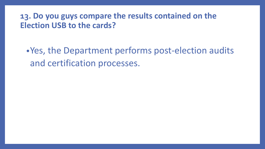## **13. Do you guys compare the results contained on the Election USB to the cards?**

•Yes, the Department performs post-election audits and certification processes.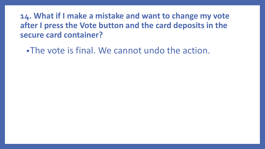**14. What if I make a mistake and want to change my vote after I press the Vote button and the card deposits in the secure card container?**

•The vote is final. We cannot undo the action.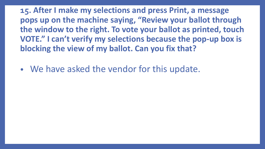**15. After I make my selections and press Print, a message pops up on the machine saying, "Review your ballot through the window to the right. To vote your ballot as printed, touch VOTE." I can't verify my selections because the pop-up box is blocking the view of my ballot. Can you fix that?**

• We have asked the vendor for this update.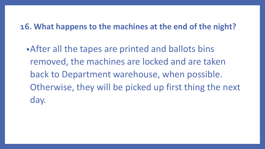## **16. What happens to the machines at the end of the night?**

•After all the tapes are printed and ballots bins removed, the machines are locked and are taken back to Department warehouse, when possible. Otherwise, they will be picked up first thing the next day.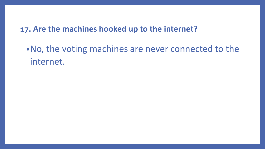## **17. Are the machines hooked up to the internet?**

•No, the voting machines are never connected to the internet.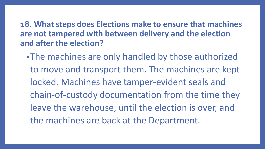**18. What steps does Elections make to ensure that machines are not tampered with between delivery and the election and after the election?**

•The machines are only handled by those authorized to move and transport them. The machines are kept locked. Machines have tamper-evident seals and chain-of-custody documentation from the time they leave the warehouse, until the election is over, and the machines are back at the Department.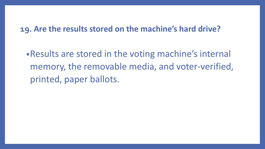## **19. Are the results stored on the machine's hard drive?**

•Results are stored in the voting machine's internal memory, the removable media, and voter-verified, printed, paper ballots.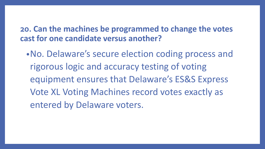**20. Can the machines be programmed to change the votes cast for one candidate versus another?**

•No. Delaware's secure election coding process and rigorous logic and accuracy testing of voting equipment ensures that Delaware's ES&S Express Vote XL Voting Machines record votes exactly as entered by Delaware voters.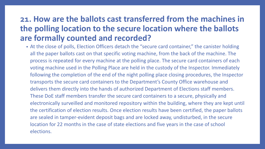# **21. How are the ballots cast transferred from the machines in the polling location to the secure location where the ballots are formally counted and recorded?**

• At the close of polls, Election Officers detach the "secure card container," the canister holding all the paper ballots cast on that specific voting machine, from the back of the machine. The process is repeated for every machine at the polling place. The secure card containers of each voting machine used in the Polling Place are held in the custody of the Inspector. Immediately following the completion of the end of the night polling place closing procedures, the Inspector transports the secure card containers to the Department's County Office warehouse and delivers them directly into the hands of authorized Department of Elections staff members. These DoE staff members transfer the secure card containers to a secure, physically and electronically surveilled and monitored repository within the building, where they are kept until the certification of election results. Once election results have been certified, the paper ballots are sealed in tamper-evident deposit bags and are locked away, undisturbed, in the secure location for 22 months in the case of state elections and five years in the case of school elections.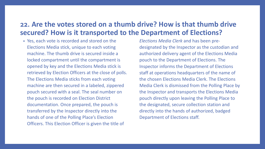#### **22. Are the votes stored on a thumb drive? How is that thumb drive secured? How is it transported to the Department of Elections?**

• Yes, each vote is recorded and stored on the Elections Media stick, unique to each voting machine. The thumb drive is secured inside a locked compartment until the compartment is opened by key and the Elections Media stick is retrieved by Election Officers at the close of polls. The Elections Media sticks from each voting machine are then secured in a labeled, zippered pouch secured with a seal. The seal number on the pouch is recorded on Election District documentation. Once prepared, the pouch is transferred by the Inspector directly into the hands of one of the Polling Place's Election Officers. This Election Officer is given the title of

*Elections Media Clerk* and has been predesignated by the Inspector as the custodian and authorized delivery agent of the Elections Media pouch to the Department of Elections. The Inspector informs the Department of Elections staff at operations headquarters of the name of the chosen Elections Media Clerk. The Elections Media Clerk is dismissed from the Polling Place by the Inspector and transports the Elections Media pouch directly upon leaving the Polling Place to the designated, secure collection station and directly into the hands of authorized, badged Department of Elections staff.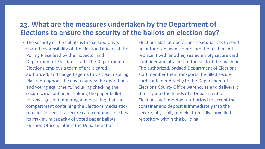#### **23. What are the measures undertaken by the Department of Elections to ensure the security of the ballots on election day?**

• The security of the ballots is the collaborative, shared responsibility of the Election Officers at the Polling Place lead by the Inspector and Department of Elections staff. The Department of Elections employs a team of pre-cleared, authorized, and badged agents to visit each Polling Place throughout the day to survey the operations and voting equipment, including checking the secure card containers holding the paper ballots for any signs of tampering and ensuring that the compartment containing the Elections Media stick remains locked. If a secure card container reaches its maximum capacity of voted paper ballots, Election Officers inform the Department of

Elections staff at operations headquarters to send an authorized agent to procure the full bin and replace it with another, sealed empty secure card container and attach it to the back of the machine. The authorized, badged Department of Elections staff member then transports the filled secure card container directly to the Department of Elections County Office warehouse and delivers it directly into the hands of a Department of Elections staff member authorized to accept the container and deposit it immediately into the secure, physically and electronically surveilled repository within the building.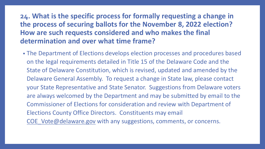## **24. What is the specific process for formally requesting a change in the process of securing ballots for the November 8, 2022 election? How are such requests considered and who makes the final determination and over what time frame?**

• The Department of Elections develops election processes and procedures based on the legal requirements detailed in Title 15 of the Delaware Code and the State of Delaware Constitution, which is revised, updated and amended by the Delaware General Assembly. To request a change in State law, please contact your State Representative and State Senator. Suggestions from Delaware voters are always welcomed by the Department and may be submitted by email to the Commissioner of Elections for consideration and review with Department of Elections County Office Directors. Constituents may email COE Vote@delaware.gov with any suggestions, comments, or concerns.